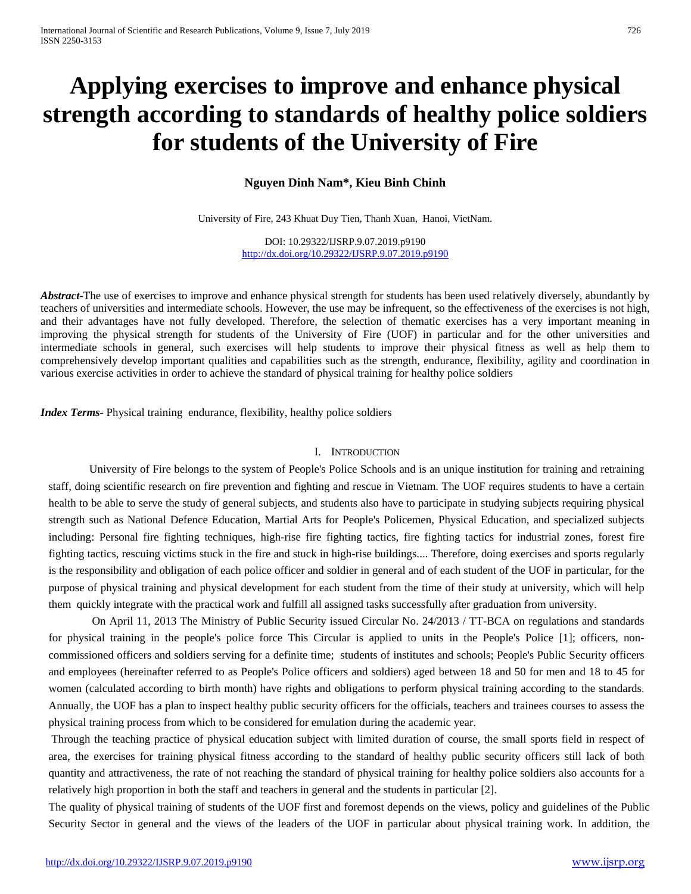# **Applying exercises to improve and enhance physical strength according to standards of healthy police soldiers for students of the University of Fire**

**Nguyen Dinh Nam\*, Kieu Binh Chinh**

University of Fire, 243 Khuat Duy Tien, Thanh Xuan, Hanoi, VietNam.

DOI: 10.29322/IJSRP.9.07.2019.p9190 <http://dx.doi.org/10.29322/IJSRP.9.07.2019.p9190>

*Abstract*-The use of exercises to improve and enhance physical strength for students has been used relatively diversely, abundantly by teachers of universities and intermediate schools. However, the use may be infrequent, so the effectiveness of the exercises is not high, and their advantages have not fully developed. Therefore, the selection of thematic exercises has a very important meaning in improving the physical strength for students of the University of Fire (UOF) in particular and for the other universities and intermediate schools in general, such exercises will help students to improve their physical fitness as well as help them to comprehensively develop important qualities and capabilities such as the strength, endurance, flexibility, agility and coordination in various exercise activities in order to achieve the standard of physical training for healthy police soldiers

*Index Terms*- Physical training endurance, flexibility, healthy police soldiers

#### I. INTRODUCTION

University of Fire belongs to the system of People's Police Schools and is an unique institution for training and retraining staff, doing scientific research on fire prevention and fighting and rescue in Vietnam. The UOF requires students to have a certain health to be able to serve the study of general subjects, and students also have to participate in studying subjects requiring physical strength such as National Defence Education, Martial Arts for People's Policemen, Physical Education, and specialized subjects including: Personal fire fighting techniques, high-rise fire fighting tactics, fire fighting tactics for industrial zones, forest fire fighting tactics, rescuing victims stuck in the fire and stuck in high-rise buildings.... Therefore, doing exercises and sports regularly is the responsibility and obligation of each police officer and soldier in general and of each student of the UOF in particular, for the purpose of physical training and physical development for each student from the time of their study at university, which will help them quickly integrate with the practical work and fulfill all assigned tasks successfully after graduation from university.

On April 11, 2013 The Ministry of Public Security issued Circular No. 24/2013 / TT-BCA on regulations and standards for physical training in the people's police force This Circular is applied to units in the People's Police [1]; officers, noncommissioned officers and soldiers serving for a definite time; students of institutes and schools; People's Public Security officers and employees (hereinafter referred to as People's Police officers and soldiers) aged between 18 and 50 for men and 18 to 45 for women (calculated according to birth month) have rights and obligations to perform physical training according to the standards. Annually, the UOF has a plan to inspect healthy public security officers for the officials, teachers and trainees courses to assess the physical training process from which to be considered for emulation during the academic year.

Through the teaching practice of physical education subject with limited duration of course, the small sports field in respect of area, the exercises for training physical fitness according to the standard of healthy public security officers still lack of both quantity and attractiveness, the rate of not reaching the standard of physical training for healthy police soldiers also accounts for a relatively high proportion in both the staff and teachers in general and the students in particular [2].

The quality of physical training of students of the UOF first and foremost depends on the views, policy and guidelines of the Public Security Sector in general and the views of the leaders of the UOF in particular about physical training work. In addition, the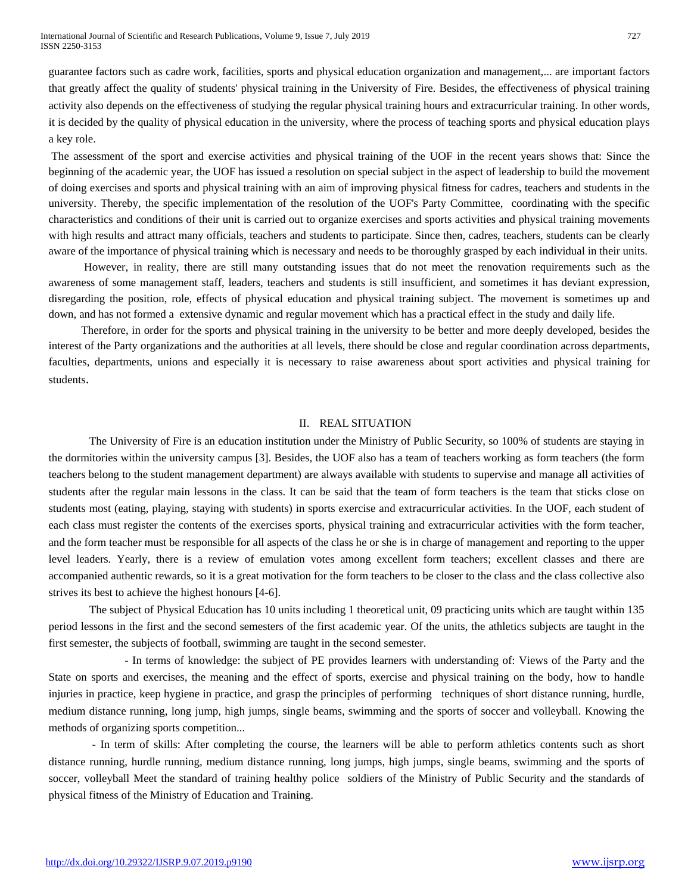guarantee factors such as cadre work, facilities, sports and physical education organization and management,... are important factors that greatly affect the quality of students' physical training in the University of Fire. Besides, the effectiveness of physical training activity also depends on the effectiveness of studying the regular physical training hours and extracurricular training. In other words, it is decided by the quality of physical education in the university, where the process of teaching sports and physical education plays a key role.

The assessment of the sport and exercise activities and physical training of the UOF in the recent years shows that: Since the beginning of the academic year, the UOF has issued a resolution on special subject in the aspect of leadership to build the movement of doing exercises and sports and physical training with an aim of improving physical fitness for cadres, teachers and students in the university. Thereby, the specific implementation of the resolution of the UOF's Party Committee, coordinating with the specific characteristics and conditions of their unit is carried out to organize exercises and sports activities and physical training movements with high results and attract many officials, teachers and students to participate. Since then, cadres, teachers, students can be clearly aware of the importance of physical training which is necessary and needs to be thoroughly grasped by each individual in their units.

However, in reality, there are still many outstanding issues that do not meet the renovation requirements such as the awareness of some management staff, leaders, teachers and students is still insufficient, and sometimes it has deviant expression, disregarding the position, role, effects of physical education and physical training subject. The movement is sometimes up and down, and has not formed a extensive dynamic and regular movement which has a practical effect in the study and daily life.

Therefore, in order for the sports and physical training in the university to be better and more deeply developed, besides the interest of the Party organizations and the authorities at all levels, there should be close and regular coordination across departments, faculties, departments, unions and especially it is necessary to raise awareness about sport activities and physical training for students.

#### II. REAL SITUATION

The University of Fire is an education institution under the Ministry of Public Security, so 100% of students are staying in the dormitories within the university campus [3]. Besides, the UOF also has a team of teachers working as form teachers (the form teachers belong to the student management department) are always available with students to supervise and manage all activities of students after the regular main lessons in the class. It can be said that the team of form teachers is the team that sticks close on students most (eating, playing, staying with students) in sports exercise and extracurricular activities. In the UOF, each student of each class must register the contents of the exercises sports, physical training and extracurricular activities with the form teacher, and the form teacher must be responsible for all aspects of the class he or she is in charge of management and reporting to the upper level leaders. Yearly, there is a review of emulation votes among excellent form teachers; excellent classes and there are accompanied authentic rewards, so it is a great motivation for the form teachers to be closer to the class and the class collective also strives its best to achieve the highest honours [4-6].

The subject of Physical Education has 10 units including 1 theoretical unit, 09 practicing units which are taught within 135 period lessons in the first and the second semesters of the first academic year. Of the units, the athletics subjects are taught in the first semester, the subjects of football, swimming are taught in the second semester.

- In terms of knowledge: the subject of PE provides learners with understanding of: Views of the Party and the State on sports and exercises, the meaning and the effect of sports, exercise and physical training on the body, how to handle injuries in practice, keep hygiene in practice, and grasp the principles of performing techniques of short distance running, hurdle, medium distance running, long jump, high jumps, single beams, swimming and the sports of soccer and volleyball. Knowing the methods of organizing sports competition...

- In term of skills: After completing the course, the learners will be able to perform athletics contents such as short distance running, hurdle running, medium distance running, long jumps, high jumps, single beams, swimming and the sports of soccer, volleyball Meet the standard of training healthy police soldiers of the Ministry of Public Security and the standards of physical fitness of the Ministry of Education and Training.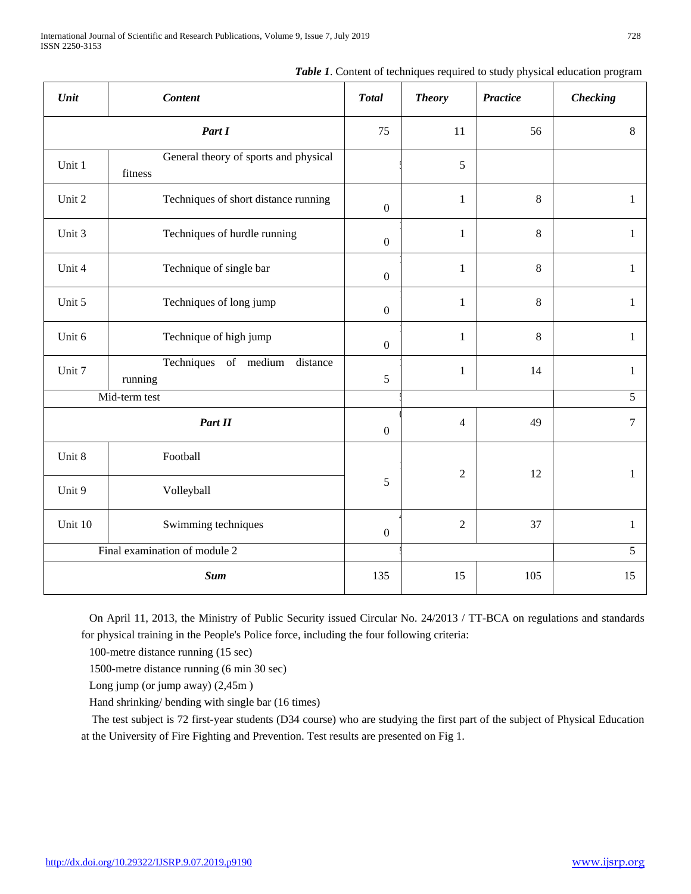|  |  | Table 1. Content of techniques required to study physical education program |  |  |  |  |  |  |  |  |
|--|--|-----------------------------------------------------------------------------|--|--|--|--|--|--|--|--|
|--|--|-----------------------------------------------------------------------------|--|--|--|--|--|--|--|--|

| Unit                          | <b>Content</b>                                   | <b>Total</b>     | <b>Theory</b>  | <b>Practice</b> | <b>Checking</b> |  |
|-------------------------------|--------------------------------------------------|------------------|----------------|-----------------|-----------------|--|
| Part I                        |                                                  | 75               | 11             | 56              | 8               |  |
| Unit 1                        | General theory of sports and physical<br>fitness |                  | $\mathfrak s$  |                 |                 |  |
| Unit 2                        | Techniques of short distance running             | $\boldsymbol{0}$ | $\mathbf{1}$   | $\,8\,$         | $\mathbf{1}$    |  |
| Unit 3                        | Techniques of hurdle running                     | $\boldsymbol{0}$ | $\mathbf{1}$   | $\,8\,$         | $\mathbf{1}$    |  |
| Unit 4                        | Technique of single bar                          | $\boldsymbol{0}$ | $\mathbf{1}$   | 8               | $\mathbf{1}$    |  |
| Unit 5                        | Techniques of long jump                          | $\boldsymbol{0}$ | $\mathbf{1}$   | 8               | $\mathbf{1}$    |  |
| Unit 6                        | Technique of high jump                           | $\boldsymbol{0}$ | $\mathbf{1}$   | 8               | $\mathbf{1}$    |  |
| Unit 7                        | Techniques<br>of medium distance<br>running      | 5                | $\mathbf{1}$   | 14              | $\mathbf{1}$    |  |
| Mid-term test                 |                                                  |                  |                |                 | $\overline{5}$  |  |
|                               | Part II                                          | $\boldsymbol{0}$ | $\overline{4}$ | 49              | $\overline{7}$  |  |
| Unit 8                        | Football                                         |                  | $\overline{2}$ | 12              | $\mathbf{1}$    |  |
| Unit 9                        | Volleyball                                       | 5                |                |                 |                 |  |
| Unit 10                       | Swimming techniques                              | $\boldsymbol{0}$ | $\overline{2}$ | 37              | $\mathbf{1}$    |  |
| Final examination of module 2 |                                                  |                  |                |                 | 5               |  |
|                               | <b>Sum</b>                                       | 135              | 15             | 105             | 15              |  |

On April 11, 2013, the Ministry of Public Security issued Circular No. 24/2013 / TT-BCA on regulations and standards for physical training in the People's Police force, including the four following criteria:

100-metre distance running (15 sec)

1500-metre distance running (6 min 30 sec)

Long jump (or jump away) (2,45m )

Hand shrinking/ bending with single bar (16 times)

The test subject is 72 first-year students (D34 course) who are studying the first part of the subject of Physical Education at the University of Fire Fighting and Prevention. Test results are presented on Fig 1.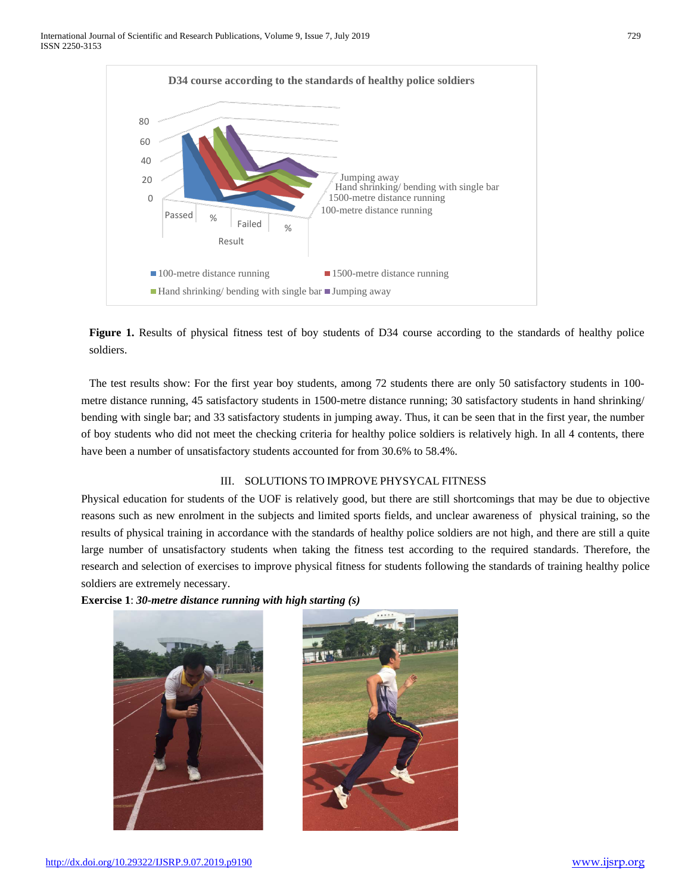

Figure 1. Results of physical fitness test of boy students of D34 course according to the standards of healthy police soldiers.

The test results show: For the first year boy students, among 72 students there are only 50 satisfactory students in 100 metre distance running, 45 satisfactory students in 1500-metre distance running; 30 satisfactory students in hand shrinking/ bending with single bar; and 33 satisfactory students in jumping away. Thus, it can be seen that in the first year, the number of boy students who did not meet the checking criteria for healthy police soldiers is relatively high. In all 4 contents, there have been a number of unsatisfactory students accounted for from 30.6% to 58.4%.

# III. SOLUTIONS TO IMPROVE PHYSYCAL FITNESS

Physical education for students of the UOF is relatively good, but there are still shortcomings that may be due to objective reasons such as new enrolment in the subjects and limited sports fields, and unclear awareness of physical training, so the results of physical training in accordance with the standards of healthy police soldiers are not high, and there are still a quite large number of unsatisfactory students when taking the fitness test according to the required standards. Therefore, the research and selection of exercises to improve physical fitness for students following the standards of training healthy police soldiers are extremely necessary.

**Exercise 1**: *30-metre distance running with high starting (s)*



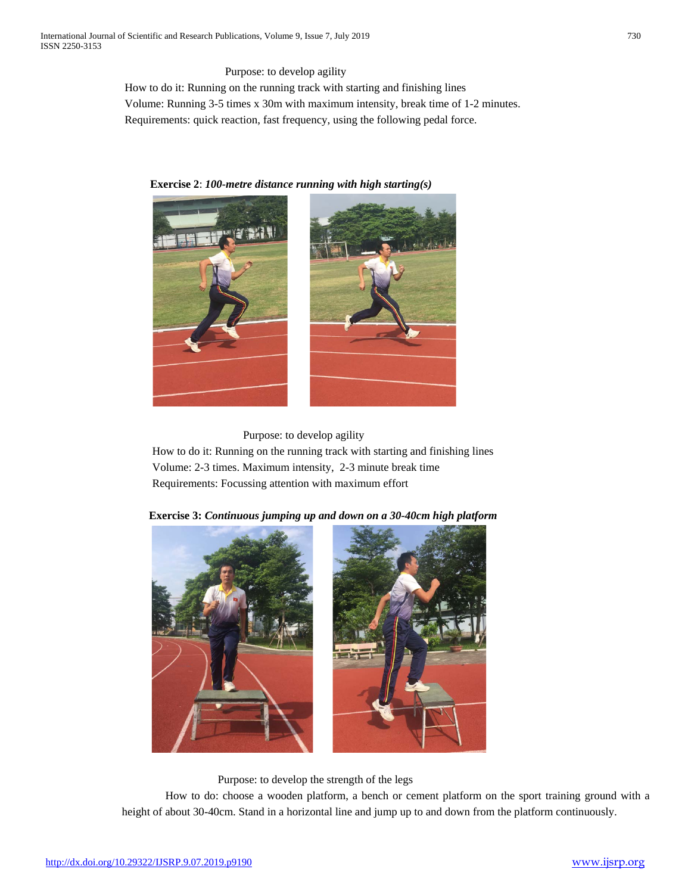Purpose: to develop agility

How to do it: Running on the running track with starting and finishing lines Volume: Running 3-5 times x 30m with maximum intensity, break time of 1-2 minutes. Requirements: quick reaction, fast frequency, using the following pedal force.

 **Exercise 2**: *100-metre distance running with high starting(s)*



# Purpose: to develop agility

How to do it: Running on the running track with starting and finishing lines Volume: 2-3 times. Maximum intensity, 2-3 minute break time Requirements: Focussing attention with maximum effort



 **Exercise 3:** *Continuous jumping up and down on a 30-40cm high platform*

Purpose: to develop the strength of the legs

How to do: choose a wooden platform, a bench or cement platform on the sport training ground with a height of about 30-40cm. Stand in a horizontal line and jump up to and down from the platform continuously.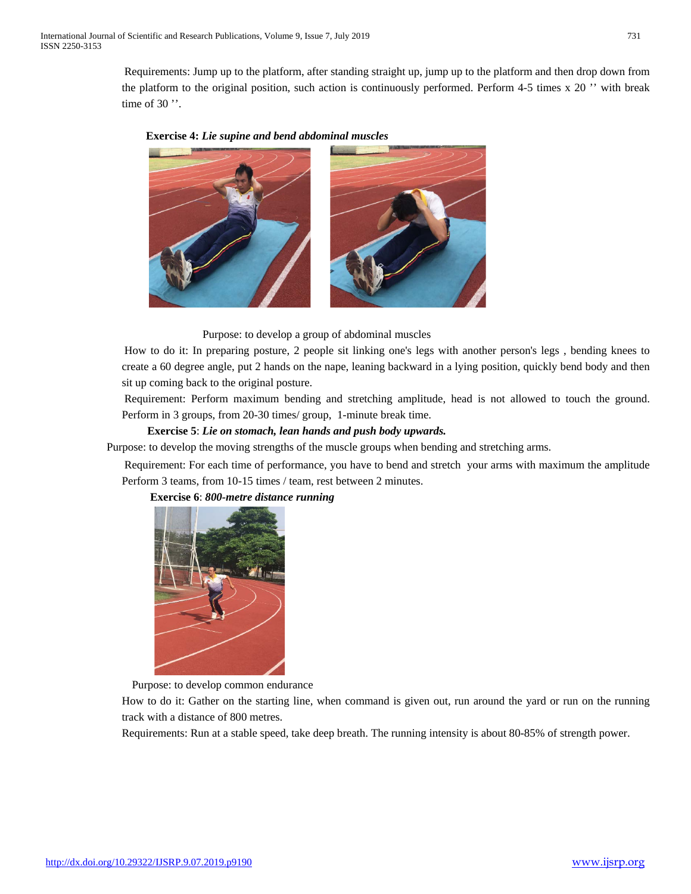Requirements: Jump up to the platform, after standing straight up, jump up to the platform and then drop down from the platform to the original position, such action is continuously performed. Perform 4-5 times x 20 '' with break time of 30".





How to do it: In preparing posture, 2 people sit linking one's legs with another person's legs , bending knees to create a 60 degree angle, put 2 hands on the nape, leaning backward in a lying position, quickly bend body and then sit up coming back to the original posture.

Requirement: Perform maximum bending and stretching amplitude, head is not allowed to touch the ground. Perform in 3 groups, from 20-30 times/ group, 1-minute break time.

### **Exercise 5**: *Lie on stomach, lean hands and push body upwards.*

Purpose: to develop the moving strengths of the muscle groups when bending and stretching arms.

Requirement: For each time of performance, you have to bend and stretch your arms with maximum the amplitude Perform 3 teams, from 10-15 times / team, rest between 2 minutes.



**Exercise 6**: *800-metre distance running*

Purpose: to develop common endurance

How to do it: Gather on the starting line, when command is given out, run around the yard or run on the running track with a distance of 800 metres.

Requirements: Run at a stable speed, take deep breath. The running intensity is about 80-85% of strength power.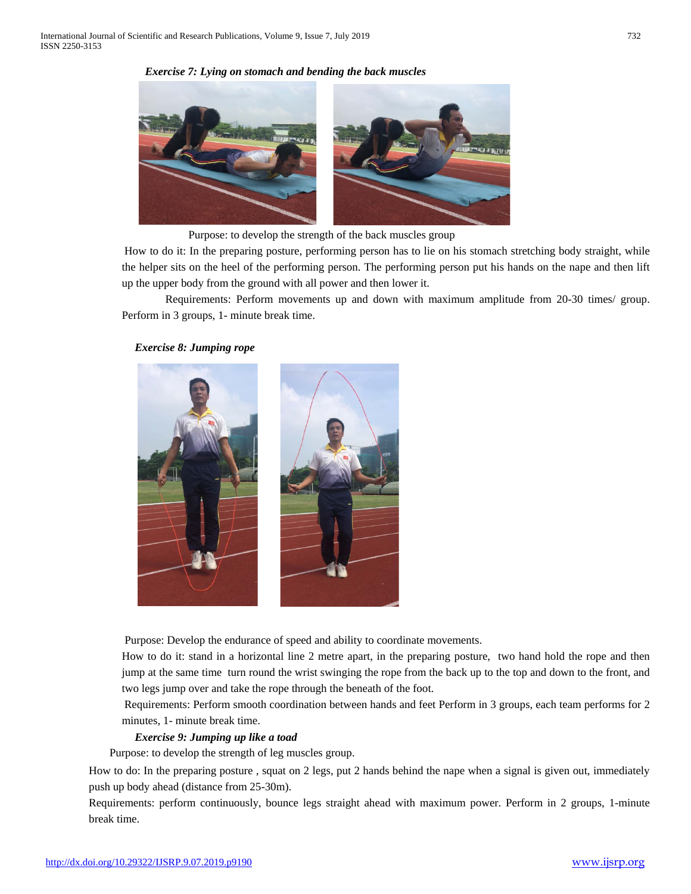### *Exercise 7: Lying on stomach and bending the back muscles*



Purpose: to develop the strength of the back muscles group

How to do it: In the preparing posture, performing person has to lie on his stomach stretching body straight, while the helper sits on the heel of the performing person. The performing person put his hands on the nape and then lift up the upper body from the ground with all power and then lower it.

Requirements: Perform movements up and down with maximum amplitude from 20-30 times/ group. Perform in 3 groups, 1- minute break time.

### *Exercise 8: Jumping rope*



Purpose: Develop the endurance of speed and ability to coordinate movements.

How to do it: stand in a horizontal line 2 metre apart, in the preparing posture, two hand hold the rope and then jump at the same time turn round the wrist swinging the rope from the back up to the top and down to the front, and two legs jump over and take the rope through the beneath of the foot.

Requirements: Perform smooth coordination between hands and feet Perform in 3 groups, each team performs for 2 minutes, 1- minute break time.

#### *Exercise 9: Jumping up like a toad*

Purpose: to develop the strength of leg muscles group.

How to do: In the preparing posture , squat on 2 legs, put 2 hands behind the nape when a signal is given out, immediately push up body ahead (distance from 25-30m).

Requirements: perform continuously, bounce legs straight ahead with maximum power. Perform in 2 groups, 1-minute break time.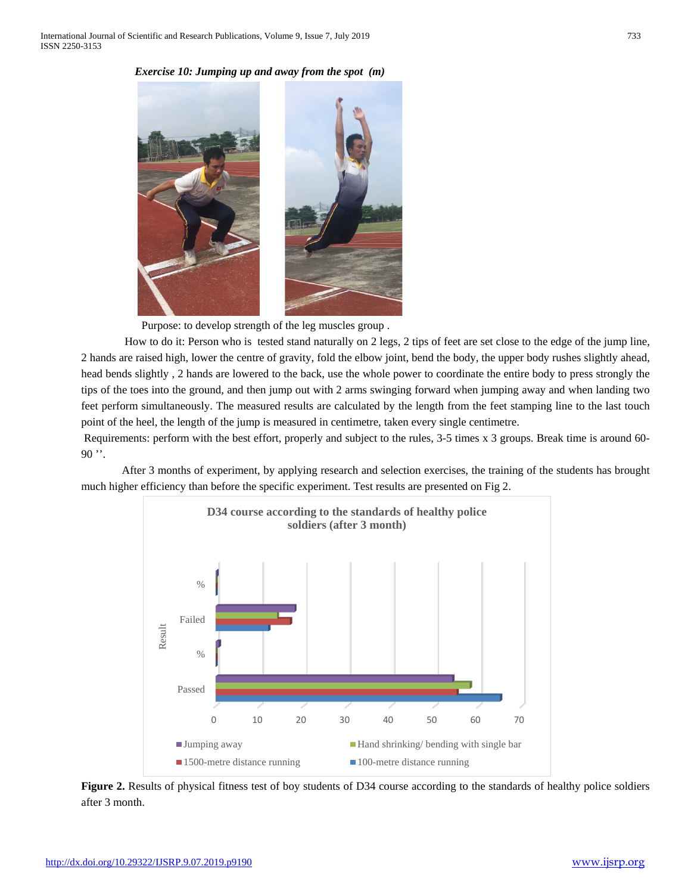# *Exercise 10: Jumping up and away from the spot (m)*



Purpose: to develop strength of the leg muscles group .

How to do it: Person who is tested stand naturally on 2 legs, 2 tips of feet are set close to the edge of the jump line, 2 hands are raised high, lower the centre of gravity, fold the elbow joint, bend the body, the upper body rushes slightly ahead, head bends slightly , 2 hands are lowered to the back, use the whole power to coordinate the entire body to press strongly the tips of the toes into the ground, and then jump out with 2 arms swinging forward when jumping away and when landing two feet perform simultaneously. The measured results are calculated by the length from the feet stamping line to the last touch point of the heel, the length of the jump is measured in centimetre, taken every single centimetre.

Requirements: perform with the best effort, properly and subject to the rules, 3-5 times x 3 groups. Break time is around 60-  $90$   $"$ .

After 3 months of experiment, by applying research and selection exercises, the training of the students has brought much higher efficiency than before the specific experiment. Test results are presented on Fig 2.



**Figure 2.** Results of physical fitness test of boy students of D34 course according to the standards of healthy police soldiers after 3 month.